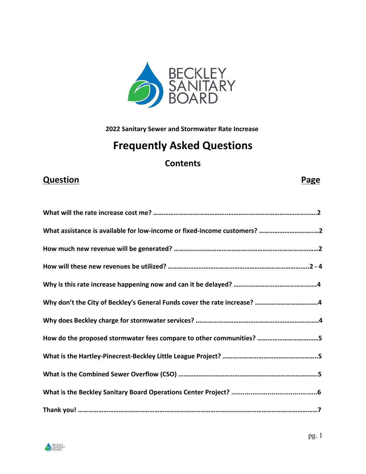

**2022 Sanitary Sewer and Stormwater Rate Increase** 

# **Frequently Asked Questions**

## **Contents**

## **Question Page**

| What assistance is available for low-income or fixed-income customers? 2 |
|--------------------------------------------------------------------------|
|                                                                          |
|                                                                          |
|                                                                          |
|                                                                          |
|                                                                          |
| How do the proposed stormwater fees compare to other communities? 5      |
|                                                                          |
|                                                                          |
|                                                                          |
|                                                                          |

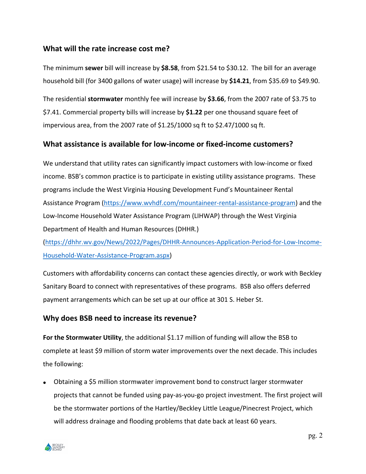### **What will the rate increase cost me?**

The minimum **sewer** bill will increase by **\$8.58**, from \$21.54 to \$30.12. The bill for an average household bill (for 3400 gallons of water usage) will increase by **\$14.21**, from \$35.69 to \$49.90.

The residential **stormwater** monthly fee will increase by **\$3.66**, from the 2007 rate of \$3.75 to \$7.41. Commercial property bills will increase by **\$1.22** per one thousand square feet of impervious area, from the 2007 rate of \$1.25/1000 sq ft to \$2.47/1000 sq ft.

### **What assistance is available for low-income or fixed-income customers?**

We understand that utility rates can significantly impact customers with low-income or fixed income. BSB's common practice is to participate in existing utility assistance programs. These programs include the West Virginia Housing Development Fund's Mountaineer Rental Assistance Program (https://www.wvhdf.com/mountaineer-rental-assistance-program) and the Low-Income Household Water Assistance Program (LIHWAP) through the West Virginia Department of Health and Human Resources (DHHR.)

(https://dhhr.wv.gov/News/2022/Pages/DHHR-Announces-Application-Period-for-Low-Income-Household-Water-Assistance-Program.aspx)

Customers with affordability concerns can contact these agencies directly, or work with Beckley Sanitary Board to connect with representatives of these programs. BSB also offers deferred payment arrangements which can be set up at our office at 301 S. Heber St.

### **Why does BSB need to increase its revenue?**

For the Stormwater Utility, the additional \$1.17 million of funding will allow the BSB to complete at least \$9 million of storm water improvements over the next decade. This includes the following:

 Obtaining a \$5 million stormwater improvement bond to construct larger stormwater projects that cannot be funded using pay-as-you-go project investment. The first project will be the stormwater portions of the Hartley/Beckley Little League/Pinecrest Project, which will address drainage and flooding problems that date back at least 60 years.

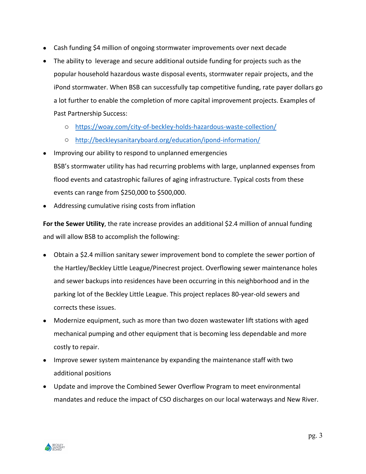- Cash funding \$4 million of ongoing stormwater improvements over next decade
- The ability to leverage and secure additional outside funding for projects such as the popular household hazardous waste disposal events, stormwater repair projects, and the iPond stormwater. When BSB can successfully tap competitive funding, rate payer dollars go a lot further to enable the completion of more capital improvement projects. Examples of Past Partnership Success:
	- o https://woay.com/city-of-beckley-holds-hazardous-waste-collection/
	- o http://beckleysanitaryboard.org/education/ipond-information/
- Improving our ability to respond to unplanned emergencies
	- BSB's stormwater utility has had recurring problems with large, unplanned expenses from flood events and catastrophic failures of aging infrastructure. Typical costs from these events can range from \$250,000 to \$500,000.
- Addressing cumulative rising costs from inflation

**For the Sewer Utility**, the rate increase provides an additional \$2.4 million of annual funding and will allow BSB to accomplish the following:

- Obtain a \$2.4 million sanitary sewer improvement bond to complete the sewer portion of the Hartley/Beckley Little League/Pinecrest project. Overflowing sewer maintenance holes and sewer backups into residences have been occurring in this neighborhood and in the parking lot of the Beckley Little League. This project replaces 80-year-old sewers and corrects these issues.
- Modernize equipment, such as more than two dozen wastewater lift stations with aged mechanical pumping and other equipment that is becoming less dependable and more costly to repair.
- Improve sewer system maintenance by expanding the maintenance staff with two additional positions
- Update and improve the Combined Sewer Overflow Program to meet environmental mandates and reduce the impact of CSO discharges on our local waterways and New River.

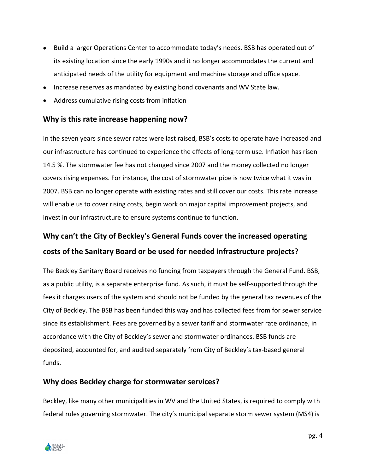- Build a larger Operations Center to accommodate today's needs. BSB has operated out of its existing location since the early 1990s and it no longer accommodates the current and anticipated needs of the utility for equipment and machine storage and office space.
- Increase reserves as mandated by existing bond covenants and WV State law.
- Address cumulative rising costs from inflation

### **Why is this rate increase happening now?**

In the seven years since sewer rates were last raised, BSB's costs to operate have increased and our infrastructure has continued to experience the effects of long-term use. Inflation has risen 14.5 %. The stormwater fee has not changed since 2007 and the money collected no longer covers rising expenses. For instance, the cost of stormwater pipe is now twice what it was in 2007. BSB can no longer operate with existing rates and still cover our costs. This rate increase will enable us to cover rising costs, begin work on major capital improvement projects, and invest in our infrastructure to ensure systems continue to function.

# **Why can't the City of Beckley's General Funds cover the increased operating costs of the Sanitary Board or be used for needed infrastructure projects?**

The Beckley Sanitary Board receives no funding from taxpayers through the General Fund. BSB, as a public utility, is a separate enterprise fund. As such, it must be self-supported through the fees it charges users of the system and should not be funded by the general tax revenues of the City of Beckley. The BSB has been funded this way and has collected fees from for sewer service since its establishment. Fees are governed by a sewer tariff and stormwater rate ordinance, in accordance with the City of Beckley's sewer and stormwater ordinances. BSB funds are deposited, accounted for, and audited separately from City of Beckley's tax-based general funds.

### **Why does Beckley charge for stormwater services?**

Beckley, like many other municipalities in WV and the United States, is required to comply with federal rules governing stormwater. The city's municipal separate storm sewer system (MS4) is

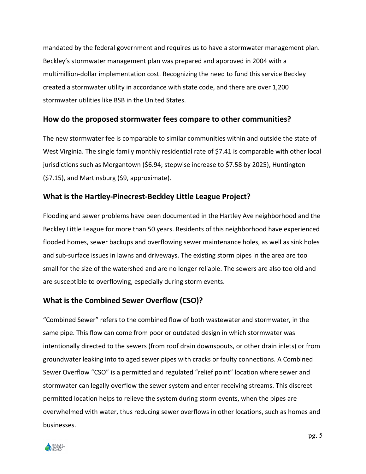mandated by the federal government and requires us to have a stormwater management plan. Beckley's stormwater management plan was prepared and approved in 2004 with a multimillion-dollar implementation cost. Recognizing the need to fund this service Beckley created a stormwater utility in accordance with state code, and there are over 1,200 stormwater utilities like BSB in the United States.

### **How do the proposed stormwater fees compare to other communities?**

The new stormwater fee is comparable to similar communities within and outside the state of West Virginia. The single family monthly residential rate of \$7.41 is comparable with other local jurisdictions such as Morgantown (\$6.94; stepwise increase to \$7.58 by 2025), Huntington (\$7.15), and Martinsburg (\$9, approximate).

### **What is the Hartley-Pinecrest-Beckley Little League Project?**

Flooding and sewer problems have been documented in the Hartley Ave neighborhood and the Beckley Little League for more than 50 years. Residents of this neighborhood have experienced flooded homes, sewer backups and overflowing sewer maintenance holes, as well as sink holes and sub-surface issues in lawns and driveways. The existing storm pipes in the area are too small for the size of the watershed and are no longer reliable. The sewers are also too old and are susceptible to overflowing, especially during storm events.

### **What is the Combined Sewer Overflow (CSO)?**

"Combined Sewer" refers to the combined flow of both wastewater and stormwater, in the same pipe. This flow can come from poor or outdated design in which stormwater was intentionally directed to the sewers (from roof drain downspouts, or other drain inlets) or from groundwater leaking into to aged sewer pipes with cracks or faulty connections. A Combined Sewer Overflow "CSO" is a permitted and regulated "relief point" location where sewer and stormwater can legally overflow the sewer system and enter receiving streams. This discreet permitted location helps to relieve the system during storm events, when the pipes are overwhelmed with water, thus reducing sewer overflows in other locations, such as homes and businesses.

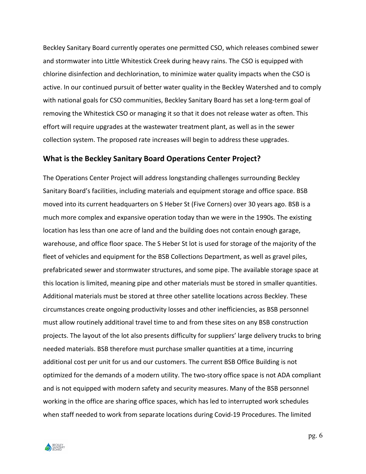Beckley Sanitary Board currently operates one permitted CSO, which releases combined sewer and stormwater into Little Whitestick Creek during heavy rains. The CSO is equipped with chlorine disinfection and dechlorination, to minimize water quality impacts when the CSO is active. In our continued pursuit of better water quality in the Beckley Watershed and to comply with national goals for CSO communities, Beckley Sanitary Board has set a long-term goal of removing the Whitestick CSO or managing it so that it does not release water as often. This effort will require upgrades at the wastewater treatment plant, as well as in the sewer collection system. The proposed rate increases will begin to address these upgrades.

#### **What is the Beckley Sanitary Board Operations Center Project?**

The Operations Center Project will address longstanding challenges surrounding Beckley Sanitary Board's facilities, including materials and equipment storage and office space. BSB moved into its current headquarters on S Heber St (Five Corners) over 30 years ago. BSB is a much more complex and expansive operation today than we were in the 1990s. The existing location has less than one acre of land and the building does not contain enough garage, warehouse, and office floor space. The S Heber St lot is used for storage of the majority of the fleet of vehicles and equipment for the BSB Collections Department, as well as gravel piles, prefabricated sewer and stormwater structures, and some pipe. The available storage space at this location is limited, meaning pipe and other materials must be stored in smaller quantities. Additional materials must be stored at three other satellite locations across Beckley. These circumstances create ongoing productivity losses and other inefficiencies, as BSB personnel must allow routinely additional travel time to and from these sites on any BSB construction projects. The layout of the lot also presents difficulty for suppliers' large delivery trucks to bring needed materials. BSB therefore must purchase smaller quantities at a time, incurring additional cost per unit for us and our customers. The current BSB Office Building is not optimized for the demands of a modern utility. The two-story office space is not ADA compliant and is not equipped with modern safety and security measures. Many of the BSB personnel working in the office are sharing office spaces, which has led to interrupted work schedules when staff needed to work from separate locations during Covid-19 Procedures. The limited



pg. 6